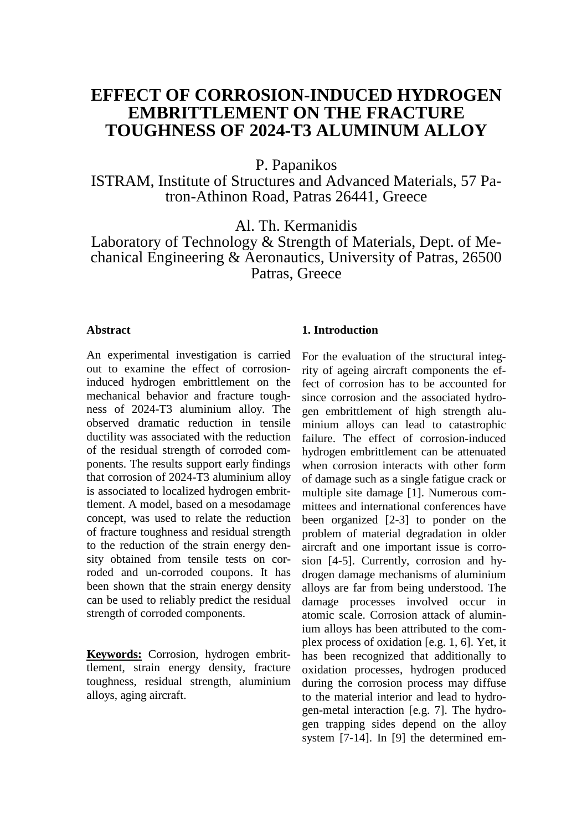# **EFFECT OF CORROSION-INDUCED HYDROGEN EMBRITTLEMENT ON THE FRACTURE TOUGHNESS OF 2024-T3 ALUMINUM ALLOY**

P. Papanikos

ISTRAM, Institute of Structures and Advanced Materials, 57 Patron-Athinon Road, Patras 26441, Greece

Al. Th. Kermanidis

Laboratory of Technology & Strength of Materials, Dept. of Mechanical Engineering & Aeronautics, University of Patras, 26500 Patras, Greece

### **Abstract**

An experimental investigation is carried out to examine the effect of corrosioninduced hydrogen embrittlement on the mechanical behavior and fracture toughness of 2024-T3 aluminium alloy. The observed dramatic reduction in tensile ductility was associated with the reduction of the residual strength of corroded components. The results support early findings that corrosion of 2024-T3 aluminium alloy is associated to localized hydrogen embrittlement. A model, based on a mesodamage concept, was used to relate the reduction of fracture toughness and residual strength to the reduction of the strain energy density obtained from tensile tests on corroded and un-corroded coupons. It has been shown that the strain energy density can be used to reliably predict the residual strength of corroded components.

**Keywords:** Corrosion, hydrogen embrittlement, strain energy density, fracture toughness, residual strength, aluminium alloys, aging aircraft.

#### **1. Introduction**

For the evaluation of the structural integrity of ageing aircraft components the effect of corrosion has to be accounted for since corrosion and the associated hydrogen embrittlement of high strength aluminium alloys can lead to catastrophic failure. The effect of corrosion-induced hydrogen embrittlement can be attenuated when corrosion interacts with other form of damage such as a single fatigue crack or multiple site damage [1]. Numerous committees and international conferences have been organized [2-3] to ponder on the problem of material degradation in older aircraft and one important issue is corrosion [4-5]. Currently, corrosion and hydrogen damage mechanisms of aluminium alloys are far from being understood. The damage processes involved occur in atomic scale. Corrosion attack of aluminium alloys has been attributed to the complex process of oxidation [e.g. 1, 6]. Yet, it has been recognized that additionally to oxidation processes, hydrogen produced during the corrosion process may diffuse to the material interior and lead to hydrogen-metal interaction [e.g. 7]. The hydrogen trapping sides depend on the alloy system [7-14]. In [9] the determined em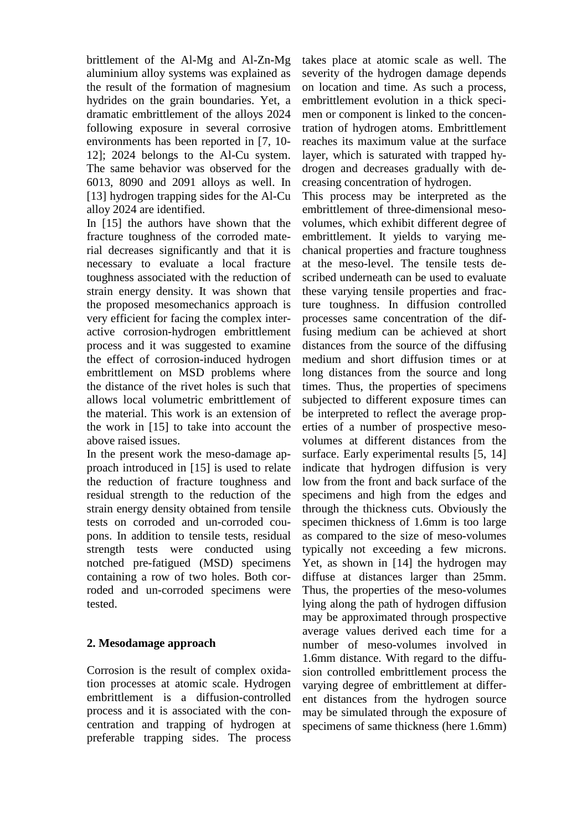brittlement of the Al-Mg and Al-Zn-Mg aluminium alloy systems was explained as the result of the formation of magnesium hydrides on the grain boundaries. Yet, a dramatic embrittlement of the alloys 2024 following exposure in several corrosive environments has been reported in [7, 10- 12]; 2024 belongs to the Al-Cu system. The same behavior was observed for the 6013, 8090 and 2091 alloys as well. In [13] hydrogen trapping sides for the Al-Cu alloy 2024 are identified.

In [15] the authors have shown that the fracture toughness of the corroded material decreases significantly and that it is necessary to evaluate a local fracture toughness associated with the reduction of strain energy density. It was shown that the proposed mesomechanics approach is very efficient for facing the complex interactive corrosion-hydrogen embrittlement process and it was suggested to examine the effect of corrosion-induced hydrogen embrittlement on MSD problems where the distance of the rivet holes is such that allows local volumetric embrittlement of the material. This work is an extension of the work in [15] to take into account the above raised issues.

In the present work the meso-damage approach introduced in [15] is used to relate the reduction of fracture toughness and residual strength to the reduction of the strain energy density obtained from tensile tests on corroded and un-corroded coupons. In addition to tensile tests, residual strength tests were conducted using notched pre-fatigued (MSD) specimens containing a row of two holes. Both corroded and un-corroded specimens were tested.

# **2. Mesodamage approach**

Corrosion is the result of complex oxidation processes at atomic scale. Hydrogen embrittlement is a diffusion-controlled process and it is associated with the concentration and trapping of hydrogen at preferable trapping sides. The process

takes place at atomic scale as well. The severity of the hydrogen damage depends on location and time. As such a process, embrittlement evolution in a thick specimen or component is linked to the concentration of hydrogen atoms. Embrittlement reaches its maximum value at the surface layer, which is saturated with trapped hydrogen and decreases gradually with decreasing concentration of hydrogen.

This process may be interpreted as the embrittlement of three-dimensional mesovolumes, which exhibit different degree of embrittlement. It yields to varying mechanical properties and fracture toughness at the meso-level. The tensile tests described underneath can be used to evaluate these varying tensile properties and fracture toughness. In diffusion controlled processes same concentration of the diffusing medium can be achieved at short distances from the source of the diffusing medium and short diffusion times or at long distances from the source and long times. Thus, the properties of specimens subjected to different exposure times can be interpreted to reflect the average properties of a number of prospective mesovolumes at different distances from the surface. Early experimental results [5, 14] indicate that hydrogen diffusion is very low from the front and back surface of the specimens and high from the edges and through the thickness cuts. Obviously the specimen thickness of 1.6mm is too large as compared to the size of meso-volumes typically not exceeding a few microns. Yet, as shown in [14] the hydrogen may diffuse at distances larger than 25mm. Thus, the properties of the meso-volumes lying along the path of hydrogen diffusion may be approximated through prospective average values derived each time for a number of meso-volumes involved in 1.6mm distance. With regard to the diffusion controlled embrittlement process the varying degree of embrittlement at different distances from the hydrogen source may be simulated through the exposure of specimens of same thickness (here 1.6mm)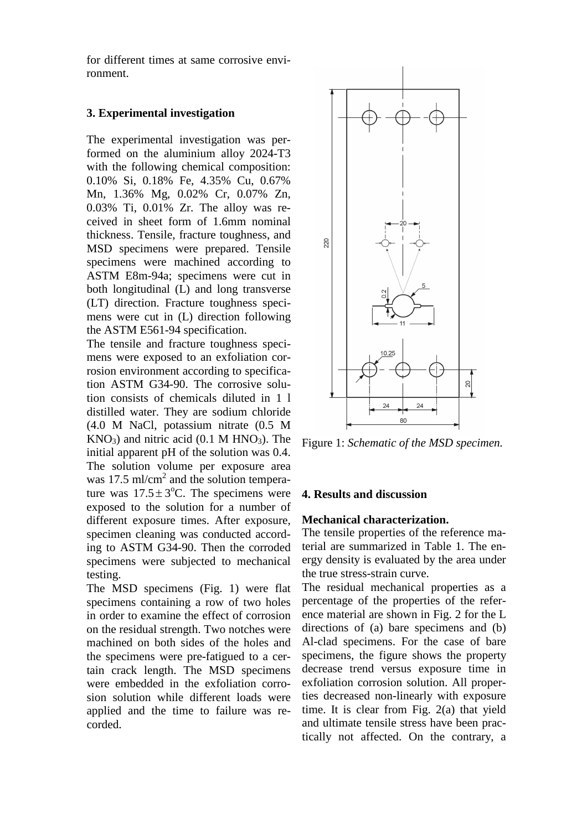for different times at same corrosive environment.

# **3. Experimental investigation**

The experimental investigation was performed on the aluminium alloy 2024-T3 with the following chemical composition: 0.10% Si, 0.18% Fe, 4.35% Cu, 0.67% Mn, 1.36% Mg, 0.02% Cr, 0.07% Zn, 0.03% Ti, 0.01% Zr. The alloy was received in sheet form of 1.6mm nominal thickness. Tensile, fracture toughness, and MSD specimens were prepared. Tensile specimens were machined according to ASTM E8m-94a; specimens were cut in both longitudinal (L) and long transverse (LT) direction. Fracture toughness specimens were cut in (L) direction following the ASTM E561-94 specification.

The tensile and fracture toughness specimens were exposed to an exfoliation corrosion environment according to specification ASTM G34-90. The corrosive solution consists of chemicals diluted in 1 l distilled water. They are sodium chloride (4.0 M NaCl, potassium nitrate (0.5 M  $KNO<sub>3</sub>$ ) and nitric acid (0.1 M HNO<sub>3</sub>). The initial apparent pH of the solution was 0.4. The solution volume per exposure area was 17.5 ml/cm<sup>2</sup> and the solution temperature was  $17.5 \pm 3$ °C. The specimens were exposed to the solution for a number of different exposure times. After exposure, specimen cleaning was conducted according to ASTM G34-90. Then the corroded specimens were subjected to mechanical testing.

The MSD specimens (Fig. 1) were flat specimens containing a row of two holes in order to examine the effect of corrosion on the residual strength. Two notches were machined on both sides of the holes and the specimens were pre-fatigued to a certain crack length. The MSD specimens were embedded in the exfoliation corrosion solution while different loads were applied and the time to failure was recorded.



Figure 1: *Schematic of the MSD specimen.*

# **4. Results and discussion**

# **Mechanical characterization.**

The tensile properties of the reference material are summarized in Table 1. The energy density is evaluated by the area under the true stress-strain curve.

The residual mechanical properties as a percentage of the properties of the reference material are shown in Fig. 2 for the L directions of (a) bare specimens and (b) Al-clad specimens. For the case of bare specimens, the figure shows the property decrease trend versus exposure time in exfoliation corrosion solution. All properties decreased non-linearly with exposure time. It is clear from Fig. 2(a) that yield and ultimate tensile stress have been practically not affected. On the contrary, a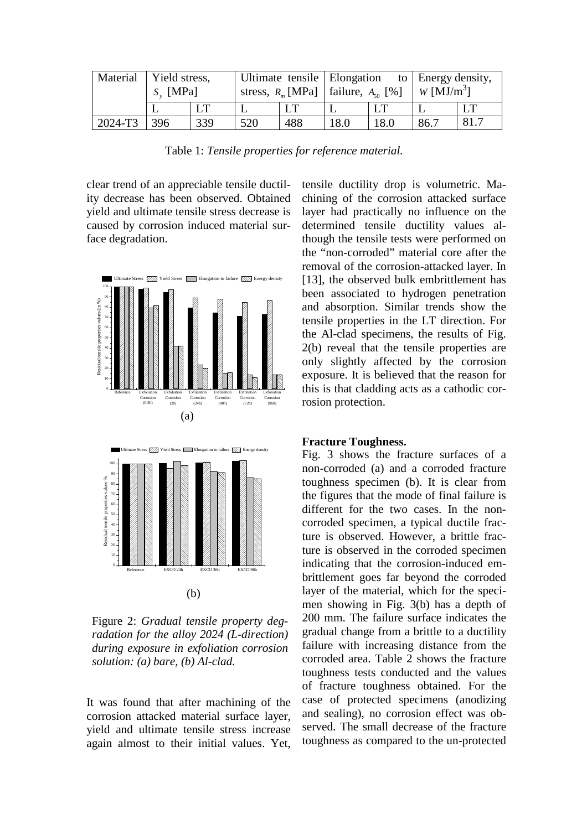| Material | Yield stress, |     | Ultimate tensile   Elongation                               |     |      |      | to Energy density,     |      |
|----------|---------------|-----|-------------------------------------------------------------|-----|------|------|------------------------|------|
|          | $S_{v}$ [MPa] |     | stress, $R_{\text{m}}$ [MPa]   failure, $A_{\text{so}}$ [%] |     |      |      | W [MJ/m <sup>3</sup> ] |      |
|          |               | ĹТ  |                                                             |     |      |      |                        |      |
| 2024-T3  | 396           | 339 | 520                                                         | 488 | 18.0 | 18.0 | 86.7                   | 81.7 |

Table 1: *Tensile properties for reference material.*

clear trend of an appreciable tensile ductility decrease has been observed. Obtained yield and ultimate tensile stress decrease is caused by corrosion induced material surface degradation.



Figure 2: *Gradual tensile property degradation for the alloy 2024 (L-direction) during exposure in exfoliation corrosion solution: (a) bare, (b) Al-clad.*

It was found that after machining of the corrosion attacked material surface layer, yield and ultimate tensile stress increase again almost to their initial values. Yet, tensile ductility drop is volumetric. Machining of the corrosion attacked surface layer had practically no influence on the determined tensile ductility values although the tensile tests were performed on the "non-corroded" material core after the removal of the corrosion-attacked layer. In [13], the observed bulk embrittlement has been associated to hydrogen penetration and absorption. Similar trends show the tensile properties in the LT direction. For the Al-clad specimens, the results of Fig. 2(b) reveal that the tensile properties are only slightly affected by the corrosion exposure. It is believed that the reason for this is that cladding acts as a cathodic corrosion protection.

#### **Fracture Toughness.**

Fig. 3 shows the fracture surfaces of a non-corroded (a) and a corroded fracture toughness specimen (b). It is clear from the figures that the mode of final failure is different for the two cases. In the noncorroded specimen, a typical ductile fracture is observed. However, a brittle fracture is observed in the corroded specimen indicating that the corrosion-induced embrittlement goes far beyond the corroded layer of the material, which for the specimen showing in Fig. 3(b) has a depth of 200 mm. The failure surface indicates the gradual change from a brittle to a ductility failure with increasing distance from the corroded area. Table 2 shows the fracture toughness tests conducted and the values of fracture toughness obtained. For the case of protected specimens (anodizing and sealing), no corrosion effect was observed. The small decrease of the fracture toughness as compared to the un-protected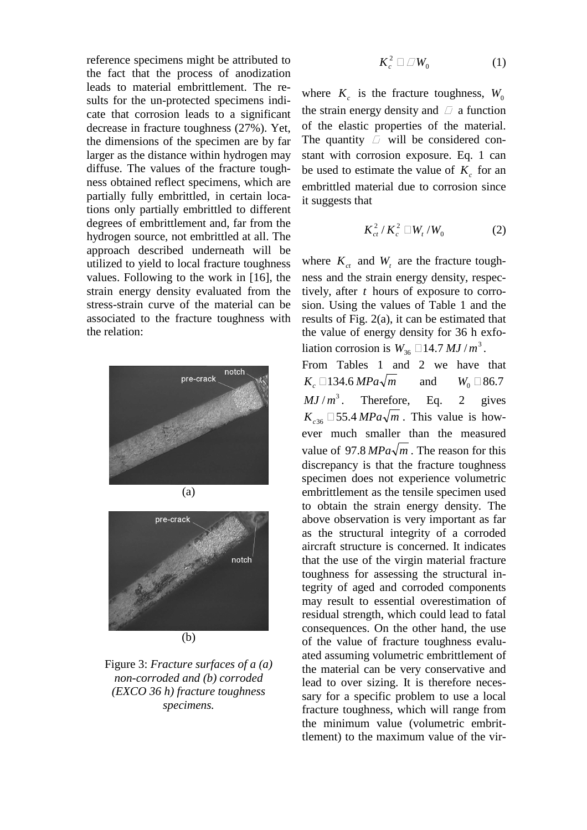reference specimens might be attributed to the fact that the process of anodization leads to material embrittlement. The results for the un-protected specimens indicate that corrosion leads to a significant decrease in fracture toughness (27%). Yet, the dimensions of the specimen are by far larger as the distance within hydrogen may diffuse. The values of the fracture toughness obtained reflect specimens, which are partially fully embrittled, in certain locations only partially embrittled to different degrees of embrittlement and, far from the hydrogen source, not embrittled at all. The approach described underneath will be utilized to yield to local fracture toughness values. Following to the work in [16], the strain energy density evaluated from the stress-strain curve of the material can be associated to the fracture toughness with the relation:





# Figure 3: *Fracture surfaces of a (a) non-corroded and (b) corroded (EXCO 36 h) fracture toughness specimens.*

$$
K_c^2 \qquad W_0 \tag{1}
$$

where  $K_c$  is the fracture toughness,  $W_0$ the strain energy density and a function of the elastic properties of the material. The quantity will be considered constant with corrosion exposure. Eq. 1 can be used to estimate the value of  $K_c$  for an embrittled material due to corrosion since it suggests that

$$
K_{ct}^2/K_c^2 \quad W_t/W_0 \tag{2}
$$

where  $K_{ct}$  and  $W_t$  are the fracture toughness and the strain energy density, respectively, after *t* hours of exposure to corrosion. Using the values of Table 1 and the results of Fig. 2(a), it can be estimated that the value of energy density for 36 h exfoliation corrosion is  $W_{36}$  14.7  $MJ/m^3$ . From Tables 1 and 2 we have that *K<sub>c</sub>* 134.6 *MPa* $\sqrt{m}$  and *W*<sub>0</sub> 86.7  $MJ/m^3$ . Therefore, Eq. 2 gives  $K_{c36}$  55.4 *MPa* $\sqrt{m}$ . This value is however much smaller than the measured value of 97.8  $MPa\sqrt{m}$ . The reason for this discrepancy is that the fracture toughness specimen does not experience volumetric embrittlement as the tensile specimen used to obtain the strain energy density. The above observation is very important as far as the structural integrity of a corroded aircraft structure is concerned. It indicates that the use of the virgin material fracture toughness for assessing the structural integrity of aged and corroded components may result to essential overestimation of residual strength, which could lead to fatal consequences. On the other hand, the use of the value of fracture toughness evaluated assuming volumetric embrittlement of the material can be very conservative and lead to over sizing. It is therefore necessary for a specific problem to use a local fracture toughness, which will range from the minimum value (volumetric embrittlement) to the maximum value of the vir-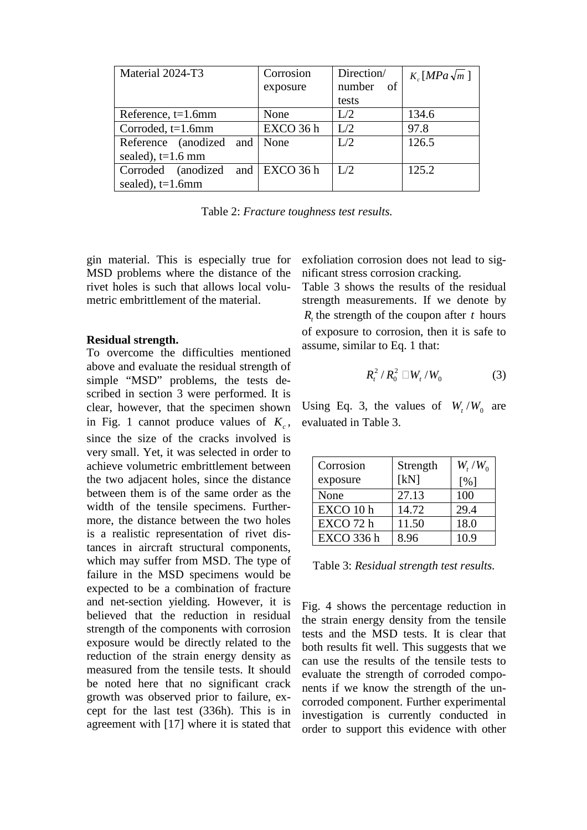| Material 2024-T3             | Corrosion             | Direction/ | $K_c$ [MPa $\sqrt{m}$ ] |
|------------------------------|-----------------------|------------|-------------------------|
|                              | exposure              | number of  |                         |
|                              |                       | tests      |                         |
| Reference, $t=1.6$ mm        | None                  | L/2        | 134.6                   |
| Corroded, t=1.6mm            | EXCO 36 h             | L/2        | 97.8                    |
| Reference (anodized and None |                       | L/2        | 126.5                   |
| sealed), $t=1.6$ mm          |                       |            |                         |
| Corroded<br>(anodized)       | and $\vert$ EXCO 36 h | L/2        | 125.2                   |
| sealed), $t=1.6$ mm          |                       |            |                         |

Table 2: *Fracture toughness test results.*

gin material. This is especially true for MSD problems where the distance of the rivet holes is such that allows local volumetric embrittlement of the material.

#### **Residual strength.**

To overcome the difficulties mentioned above and evaluate the residual strength of simple "MSD" problems, the tests described in section 3 were performed. It is clear, however, that the specimen shown in Fig. 1 cannot produce values of  $K_c$ , since the size of the cracks involved is very small. Yet, it was selected in order to achieve volumetric embrittlement between the two adjacent holes, since the distance between them is of the same order as the width of the tensile specimens. Furthermore, the distance between the two holes is a realistic representation of rivet distances in aircraft structural components, which may suffer from MSD. The type of failure in the MSD specimens would be expected to be a combination of fracture and net-section yielding. However, it is believed that the reduction in residual strength of the components with corrosion exposure would be directly related to the reduction of the strain energy density as measured from the tensile tests. It should be noted here that no significant crack growth was observed prior to failure, except for the last test (336h). This is in agreement with [17] where it is stated that exfoliation corrosion does not lead to significant stress corrosion cracking.

Table 3 shows the results of the residual strength measurements. If we denote by  $R_t$ , the strength of the coupon after *t* hours of exposure to corrosion, then it is safe to assume, similar to Eq. 1 that:

$$
R_t^2 / R_0^2 \t W_t / W_0 \t\t(3)
$$

Using Eq. 3, the values of  $W_t/W_0$  are evaluated in Table 3.

| Corrosion<br>exposure | Strength<br>[kN] | $W_{t}/W_{0}$<br>[%] |
|-----------------------|------------------|----------------------|
| None                  | 27.13            | 100                  |
| EXCO 10h              | 14.72            | 29.4                 |
| EXCO 72 h             | 11.50            | 18.0                 |
| <b>EXCO 336 h</b>     | 8.96             | 10.9                 |

Table 3: *Residual strength test results.*

Fig. 4 shows the percentage reduction in the strain energy density from the tensile tests and the MSD tests. It is clear that both results fit well. This suggests that we can use the results of the tensile tests to evaluate the strength of corroded components if we know the strength of the uncorroded component. Further experimental investigation is currently conducted in order to support this evidence with other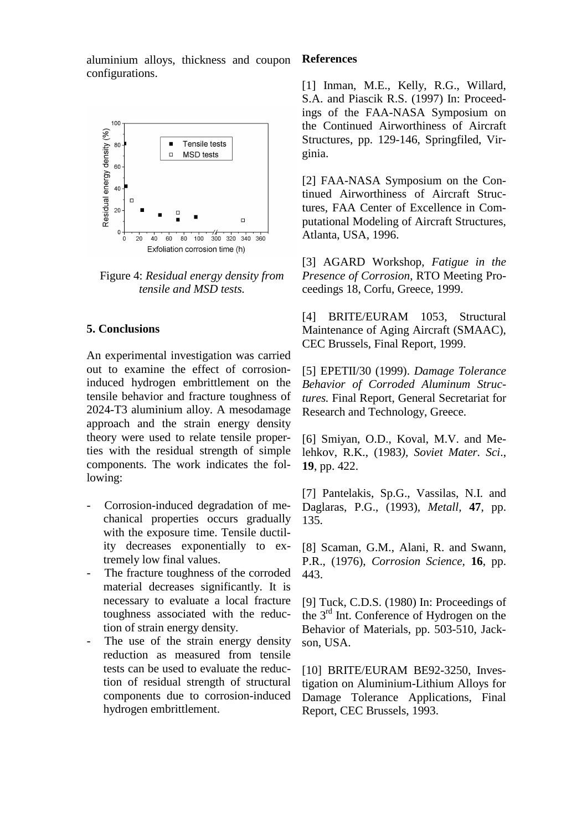aluminium alloys, thickness and coupon configurations.



Figure 4: *Residual energy density from tensile and MSD tests.*

# **5. Conclusions**

An experimental investigation was carried out to examine the effect of corrosioninduced hydrogen embrittlement on the tensile behavior and fracture toughness of 2024-T3 aluminium alloy. A mesodamage approach and the strain energy density theory were used to relate tensile properties with the residual strength of simple components. The work indicates the following:

- Corrosion-induced degradation of mechanical properties occurs gradually with the exposure time. Tensile ductility decreases exponentially to extremely low final values.
- The fracture toughness of the corroded material decreases significantly. It is necessary to evaluate a local fracture toughness associated with the reduction of strain energy density.
- The use of the strain energy density reduction as measured from tensile tests can be used to evaluate the reduction of residual strength of structural components due to corrosion-induced hydrogen embrittlement.

### **References**

[1] Inman, M.E., Kelly, R.G., Willard, S.A. and Piascik R.S. (1997) In: Proceedings of the FAA-NASA Symposium on the Continued Airworthiness of Aircraft Structures, pp. 129-146, Springfiled, Virginia.

[2] FAA-NASA Symposium on the Continued Airworthiness of Aircraft Structures, FAA Center of Excellence in Computational Modeling of Aircraft Structures, Atlanta, USA, 1996.

[3] AGARD Workshop, *Fatigue in the Presence of Corrosion*, RTO Meeting Proceedings 18, Corfu, Greece, 1999.

[4] BRITE/EURAM 1053, Structural Maintenance of Aging Aircraft (SMAAC), CEC Brussels, Final Report, 1999.

[5] EPETII/30 (1999). *Damage Tolerance Behavior of Corroded Aluminum Structures.* Final Report, General Secretariat for Research and Technology, Greece.

[6] Smiyan, O.D., Koval, M.V. and Melehkov, R.K., (1983*), Soviet Mater. Sci*., **19**, pp. 422.

[7] Pantelakis, Sp.G., Vassilas, N.I. and Daglaras, P.G., (1993)*, Metall,* **47**, pp. 135.

[8] Scaman, G.M., Alani, R. and Swann, P.R., (1976), *Corrosion Science,* **16**, pp. 443.

[9] Tuck, C.D.S. (1980) In: Proceedings of the 3<sup>rd</sup> Int. Conference of Hydrogen on the Behavior of Materials, pp. 503-510, Jackson, USA.

[10] BRITE/EURAM BE92-3250, Investigation on Aluminium-Lithium Alloys for Damage Tolerance Applications, Final Report, CEC Brussels, 1993.